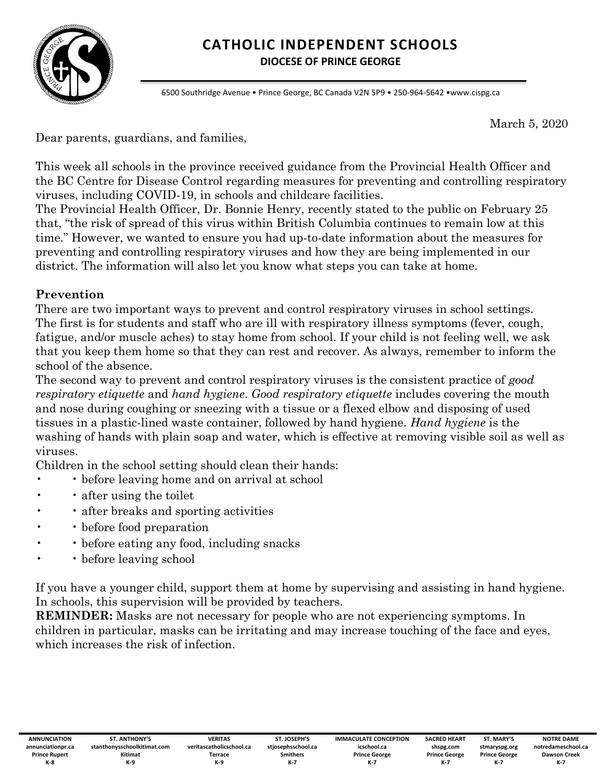

# **CATHOLIC INDEPENDENT SCHOOLS**

**DIOCESE OF PRINCE GEORGE**

6500 Southridge Avenue • Prince George, BC Canada V2N 5P9 • 250-964-5642 •www.cispg.ca

March 5, 2020

Dear parents, guardians, and families,

This week all schools in the province received guidance from the Provincial Health Officer and the BC Centre for Disease Control regarding measures for preventing and controlling respiratory viruses, including COVID-19, in schools and childcare facilities.

The Provincial Health Officer, Dr. Bonnie Henry, recently stated to the public on February 25 that, "the risk of spread of this virus within British Columbia continues to remain low at this time." However, we wanted to ensure you had up-to-date information about the measures for preventing and controlling respiratory viruses and how they are being implemented in our district. The information will also let you know what steps you can take at home.

### **Prevention**

There are two important ways to prevent and control respiratory viruses in school settings. The first is for students and staff who are ill with respiratory illness symptoms (fever, cough, fatigue, and/or muscle aches) to stay home from school. If your child is not feeling well, we ask that you keep them home so that they can rest and recover. As always, remember to inform the school of the absence.

The second way to prevent and control respiratory viruses is the consistent practice of *good respiratory etiquette* and *hand hygiene*. *Good respiratory etiquette* includes covering the mouth and nose during coughing or sneezing with a tissue or a flexed elbow and disposing of used tissues in a plastic-lined waste container, followed by hand hygiene. *Hand hygiene* is the washing of hands with plain soap and water, which is effective at removing visible soil as well as viruses.

Children in the school setting should clean their hands:

- • before leaving home and on arrival at school
- after using the toilet
- after breaks and sporting activities
- before food preparation
- • before eating any food, including snacks
- • before leaving school

If you have a younger child, support them at home by supervising and assisting in hand hygiene. In schools, this supervision will be provided by teachers.

**REMINDER:** Masks are not necessary for people who are not experiencing symptoms. In children in particular, masks can be irritating and may increase touching of the face and eyes, which increases the risk of infection.

**ST. MARY'S stmaryspg.org Prince George K-7**